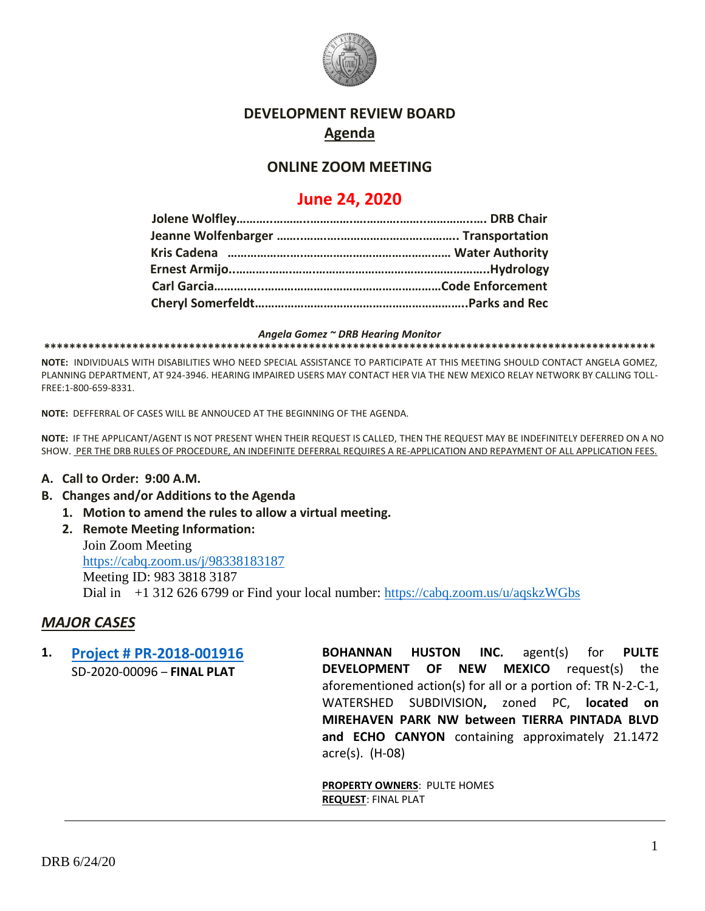

## **DEVELOPMENT REVIEW BOARD Agenda**

## **ONLINE ZOOM MEETING**

# **June 24, 2020**

*Angela Gomez ~ DRB Hearing Monitor*

**\*\*\*\*\*\*\*\*\*\*\*\*\*\*\*\*\*\*\*\*\*\*\*\*\*\*\*\*\*\*\*\*\*\*\*\*\*\*\*\*\*\*\*\*\*\*\*\*\*\*\*\*\*\*\*\*\*\*\*\*\*\*\*\*\*\*\*\*\*\*\*\*\*\*\*\*\*\*\*\*\*\*\*\*\*\*\*\*\*\*\*\*\*\*\*\*\***

**NOTE:** INDIVIDUALS WITH DISABILITIES WHO NEED SPECIAL ASSISTANCE TO PARTICIPATE AT THIS MEETING SHOULD CONTACT ANGELA GOMEZ, PLANNING DEPARTMENT, AT 924-3946. HEARING IMPAIRED USERS MAY CONTACT HER VIA THE NEW MEXICO RELAY NETWORK BY CALLING TOLL-FREE:1-800-659-8331.

**NOTE:** DEFFERRAL OF CASES WILL BE ANNOUCED AT THE BEGINNING OF THE AGENDA.

**NOTE:** IF THE APPLICANT/AGENT IS NOT PRESENT WHEN THEIR REQUEST IS CALLED, THEN THE REQUEST MAY BE INDEFINITELY DEFERRED ON A NO SHOW. PER THE DRB RULES OF PROCEDURE, AN INDEFINITE DEFERRAL REQUIRES A RE-APPLICATION AND REPAYMENT OF ALL APPLICATION FEES.

#### **A. Call to Order: 9:00 A.M.**

- **B. Changes and/or Additions to the Agenda**
	- **1. Motion to amend the rules to allow a virtual meeting.**
	- **2. Remote Meeting Information:**

Join Zoom Meeting <https://cabq.zoom.us/j/98338183187> Meeting ID: 983 3818 3187 Dial in +1 312 626 6799 or Find your local number:<https://cabq.zoom.us/u/aqskzWGbs>

## *MAJOR CASES*

**1. [Project # PR-2018-001916](http://data.cabq.gov/government/planning/DRB/PR-2018-001916/DRB%20Submittals/PR-2018-1916_Jun_24_2020/Application/Del%20Webb%204%20Final%20Plat_Digital%20Submittal.pdf)** SD-2020-00096 – **FINAL PLAT**

**BOHANNAN HUSTON INC.** agent(s) for **PULTE DEVELOPMENT OF NEW MEXICO** request(s) the aforementioned action(s) for all or a portion of: TR N-2-C-1, WATERSHED SUBDIVISION**,** zoned PC, **located on MIREHAVEN PARK NW between TIERRA PINTADA BLVD and ECHO CANYON** containing approximately 21.1472 acre(s). (H-08)

**PROPERTY OWNERS**: PULTE HOMES **REQUEST**: FINAL PLAT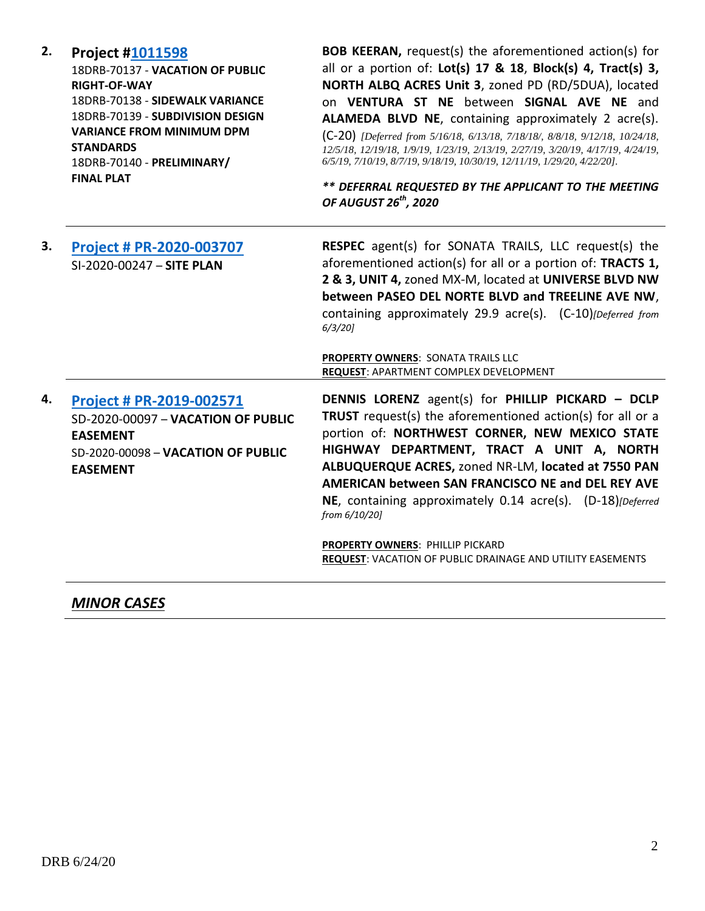| 2. | <b>Project #1011598</b><br>18DRB-70137 - VACATION OF PUBLIC<br><b>RIGHT-OF-WAY</b><br>18DRB-70138 - SIDEWALK VARIANCE<br>18DRB-70139 - SUBDIVISION DESIGN<br><b>VARIANCE FROM MINIMUM DPM</b><br><b>STANDARDS</b><br>18DRB-70140 - PRELIMINARY/<br><b>FINAL PLAT</b> | <b>BOB KEERAN, request(s) the aforementioned action(s) for</b><br>all or a portion of: Lot(s) 17 & 18, Block(s) 4, Tract(s) 3,<br>NORTH ALBQ ACRES Unit 3, zoned PD (RD/5DUA), located<br>on VENTURA ST NE between SIGNAL AVE NE and<br>ALAMEDA BLVD NE, containing approximately 2 acre(s).<br>(C-20) [Deferred from 5/16/18, 6/13/18, 7/18/18/, 8/8/18, 9/12/18, 10/24/18,<br>12/5/18, 12/19/18, 1/9/19, 1/23/19, 2/13/19, 2/27/19, 3/20/19, 4/17/19, 4/24/19,<br>6/5/19, 7/10/19, 8/7/19, 9/18/19, 10/30/19, 12/11/19, 1/29/20, 4/22/20].<br>** DEFERRAL REQUESTED BY THE APPLICANT TO THE MEETING<br>OF AUGUST 26 <sup>th</sup> , 2020 |
|----|----------------------------------------------------------------------------------------------------------------------------------------------------------------------------------------------------------------------------------------------------------------------|--------------------------------------------------------------------------------------------------------------------------------------------------------------------------------------------------------------------------------------------------------------------------------------------------------------------------------------------------------------------------------------------------------------------------------------------------------------------------------------------------------------------------------------------------------------------------------------------------------------------------------------------|
| 3. | Project # PR-2020-003707<br>SI-2020-00247 - SITE PLAN                                                                                                                                                                                                                | RESPEC agent(s) for SONATA TRAILS, LLC request(s) the<br>aforementioned action(s) for all or a portion of: TRACTS 1,<br>2 & 3, UNIT 4, zoned MX-M, located at UNIVERSE BLVD NW<br>between PASEO DEL NORTE BLVD and TREELINE AVE NW,<br>containing approximately 29.9 acre(s). (C-10) [Deferred from<br>$6/3/20$ ]<br>PROPERTY OWNERS: SONATA TRAILS LLC<br>REQUEST: APARTMENT COMPLEX DEVELOPMENT                                                                                                                                                                                                                                          |
| 4. | Project # PR-2019-002571<br>SD-2020-00097 - VACATION OF PUBLIC<br><b>EASEMENT</b><br>SD-2020-00098 - VACATION OF PUBLIC<br><b>EASEMENT</b>                                                                                                                           | DENNIS LORENZ agent(s) for PHILLIP PICKARD - DCLP<br>TRUST request(s) the aforementioned action(s) for all or a<br>portion of: NORTHWEST CORNER, NEW MEXICO STATE<br>HIGHWAY DEPARTMENT, TRACT A UNIT A, NORTH<br>ALBUQUERQUE ACRES, zoned NR-LM, located at 7550 PAN<br>AMERICAN between SAN FRANCISCO NE and DEL REY AVE<br>NE, containing approximately 0.14 acre(s). (D-18)[Deferred<br>from 6/10/20]<br><b>PROPERTY OWNERS: PHILLIP PICKARD</b><br>REQUEST: VACATION OF PUBLIC DRAINAGE AND UTILITY EASEMENTS                                                                                                                         |

*MINOR CASES*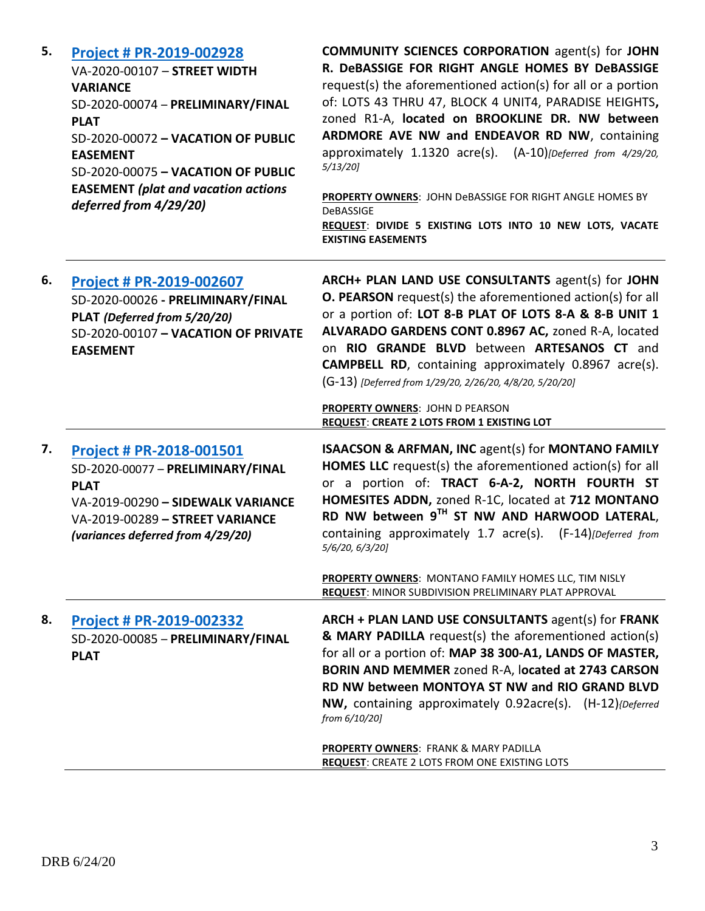| 5. | <b>Project # PR-2019-002928</b><br>VA-2020-00107 - STREET WIDTH<br><b>VARIANCE</b><br>SD-2020-00074 - PRELIMINARY/FINAL<br><b>PLAT</b><br>SD-2020-00072 - VACATION OF PUBLIC<br><b>EASEMENT</b><br>SD-2020-00075 - VACATION OF PUBLIC<br><b>EASEMENT</b> (plat and vacation actions<br>deferred from 4/29/20) | <b>COMMUNITY SCIENCES CORPORATION agent(s) for JOHN</b><br>R. DeBASSIGE FOR RIGHT ANGLE HOMES BY DeBASSIGE<br>request(s) the aforementioned action(s) for all or a portion<br>of: LOTS 43 THRU 47, BLOCK 4 UNIT4, PARADISE HEIGHTS,<br>zoned R1-A, located on BROOKLINE DR. NW between<br>ARDMORE AVE NW and ENDEAVOR RD NW, containing<br>approximately 1.1320 acre(s). (A-10)[Deferred from 4/29/20,<br>5/13/20<br>PROPERTY OWNERS: JOHN DeBASSIGE FOR RIGHT ANGLE HOMES BY<br><b>DeBASSIGE</b><br>REQUEST: DIVIDE 5 EXISTING LOTS INTO 10 NEW LOTS, VACATE<br><b>EXISTING EASEMENTS</b> |
|----|---------------------------------------------------------------------------------------------------------------------------------------------------------------------------------------------------------------------------------------------------------------------------------------------------------------|--------------------------------------------------------------------------------------------------------------------------------------------------------------------------------------------------------------------------------------------------------------------------------------------------------------------------------------------------------------------------------------------------------------------------------------------------------------------------------------------------------------------------------------------------------------------------------------------|
| 6. | Project # PR-2019-002607<br>SD-2020-00026 - PRELIMINARY/FINAL<br>PLAT (Deferred from 5/20/20)<br>SD-2020-00107 - VACATION OF PRIVATE<br><b>EASEMENT</b>                                                                                                                                                       | ARCH+ PLAN LAND USE CONSULTANTS agent(s) for JOHN<br><b>O. PEARSON</b> request(s) the aforementioned action(s) for all<br>or a portion of: LOT 8-B PLAT OF LOTS 8-A & 8-B UNIT 1<br>ALVARADO GARDENS CONT 0.8967 AC, zoned R-A, located<br>on RIO GRANDE BLVD between ARTESANOS CT and<br><b>CAMPBELL RD</b> , containing approximately 0.8967 acre(s).<br>(G-13) [Deferred from 1/29/20, 2/26/20, 4/8/20, 5/20/20]<br><b>PROPERTY OWNERS: JOHN D PEARSON</b><br>REQUEST: CREATE 2 LOTS FROM 1 EXISTING LOT                                                                                |
| 7. | <b>Project # PR-2018-001501</b><br>SD-2020-00077 - PRELIMINARY/FINAL<br><b>PLAT</b><br>VA-2019-00290 - SIDEWALK VARIANCE<br>VA-2019-00289 - STREET VARIANCE<br>(variances deferred from 4/29/20)                                                                                                              | <b>ISAACSON &amp; ARFMAN, INC agent(s) for MONTANO FAMILY</b><br><b>HOMES LLC</b> request(s) the aforementioned action(s) for all<br>or a portion of: TRACT 6-A-2, NORTH FOURTH ST<br>HOMESITES ADDN, zoned R-1C, located at 712 MONTANO<br>RD NW between 9TH ST NW AND HARWOOD LATERAL,<br>containing approximately 1.7 acre(s). (F-14) [Deferred from<br>5/6/20, 6/3/20]<br>PROPERTY OWNERS: MONTANO FAMILY HOMES LLC, TIM NISLY<br><b>REQUEST: MINOR SUBDIVISION PRELIMINARY PLAT APPROVAL</b>                                                                                          |
| 8. | <b>Project # PR-2019-002332</b><br>SD-2020-00085 - PRELIMINARY/FINAL<br><b>PLAT</b>                                                                                                                                                                                                                           | ARCH + PLAN LAND USE CONSULTANTS agent(s) for FRANK<br>& MARY PADILLA request(s) the aforementioned action(s)<br>for all or a portion of: MAP 38 300-A1, LANDS OF MASTER,<br>BORIN AND MEMMER zoned R-A, located at 2743 CARSON<br>RD NW between MONTOYA ST NW and RIO GRAND BLVD<br>NW, containing approximately 0.92acre(s). (H-12){Deferred<br>from 6/10/20]<br><b>PROPERTY OWNERS: FRANK &amp; MARY PADILLA</b><br><b>REQUEST: CREATE 2 LOTS FROM ONE EXISTING LOTS</b>                                                                                                                |